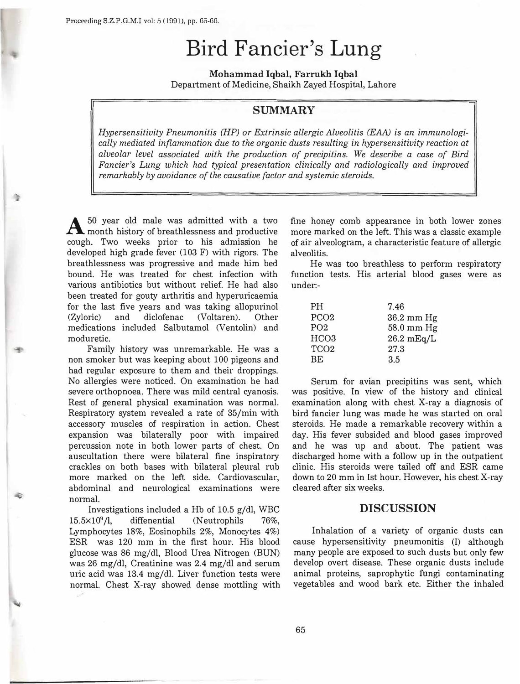# **Bird Fancier's Lung**

**Mohammad Iqbal, Farrukh Iqbal**  Department of Medicine, Shaikh Zayed Hospital, Lahore

# **SUMMARY**

*Hypersensitivity Pneumonitis (HP) or Extrinsic allergic Alveolitis (EAA) is an immunologically mediated inflammation due to the organic dusts resulting in hypersensitivity reaction at alveolar level associated with the production of precipitins. We describe a case of Bird Fancier's Lung which had typical presentation clinically and radiologically and improved remarkably by avoidance of the causative factor and systemic steroids.* 

 $A$  50 year old male was admitted with a two month history of breathlessness and productive cough. Two weeks prior to his admission he developed high grade fever (103 F) with rigors. The breathlessness was progressive and made him bed bound. He was treated for chest infection with various antibiotics but without relief. He had also been treated for gouty arthritis and hyperuricaemia for the last five years and was taking allopurinol (Zyloric) and diclofenac (Voltaren). Other medications included Salbutamol (Ventolin) and moduretic.

Family history was unremarkable. He was a non smoker but was keeping about 100 pigeons and had regular exposure to them and their droppings. No allergies were noticed. On examination he had severe orthopnoea. There was mild central cyanosis. Rest of general physical examination was normal. Respiratory system revealed a rate of 35/min with accessory muscles of respiration in action. Chest expansion was bilaterally poor with impaired percussion note in both lower parts of chest. On auscultation there were bilateral fine inspiratory crackles on both bases with bilateral pleural rub more marked on the left side. Cardiovascular, abdominal and neurological examinations were normal.

Investigations included a Hb of 10.5 g/dl, WBC 15.5×10<sup>9</sup>/l, diffenential (Neutrophils 76%, Lymphocytes 18%, Eosinophils 2%, Monocytes 4%) ESR was 120 mm in the first hour. His blood glucose was 86 mg/dl, Blood Urea Nitrogen (BUN) was 26 mg/dl, Creatinine was  $2.4 \text{ mg/dl}$  and serum uric acid was 13.4 mg/dl. Liver function tests were normal. Chest X-ray showed dense mottling with

fine honey comb appearance in both lower zones more marked on the left. This was a classic example of air alveologram, a characteristic feature of allergic alveolitis.

He was too breathless to perform respiratory function tests. His arterial blood gases were as under:-

| <b>PH</b>        | 7.46                 |
|------------------|----------------------|
| PCO <sub>2</sub> | $36.2 \text{ mm Hg}$ |
| PO <sub>2</sub>  | $58.0 \text{ mm Hg}$ |
| HCO <sub>3</sub> | $26.2 \text{ mEq/L}$ |
| TCO <sub>2</sub> | 27.3                 |
| <b>BE</b>        | 3.5                  |

Serum for avian precipitins was sent, which was positive. In view of the history and clinical examination along with chest X-ray a diagnosis of bird fancier lung was made he was started on oral steroids. He made a remarkable recovery within a day. His fevet subsided and blood gases improved and he was up and about. The patient was discharged home with a follow up in the outpatient clinic. His steroids were tailed off and ESR came down to 20 mm in Ist hour. However, his chest X-ray cleared after six weeks.

## **DISCUSSION**

Inhalation of a variety of organic dusts can cause hypersensitivity pneumonitis (I) although many people are exposed to such dusts but only few develop overt disease. These organic dusts include animal proteins, saprophytic fungi contaminating vegetables and wood bark etc. Either the inhaled